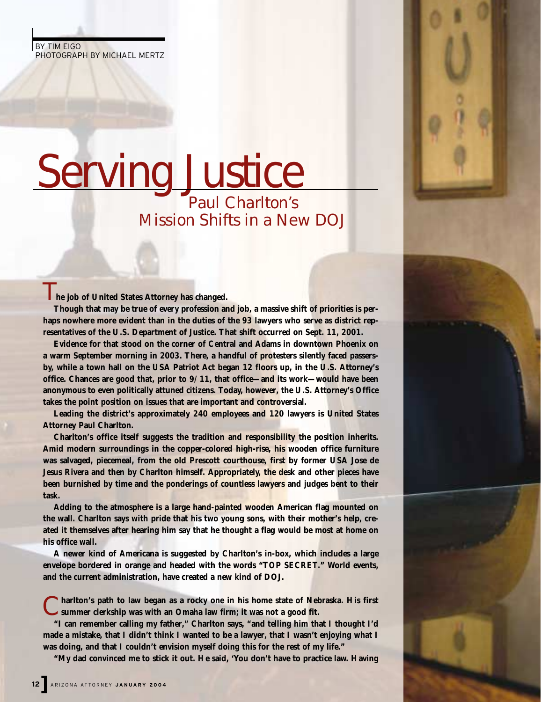**BY TIM EIGO** PHOTOGRAPH BY MICHAEL MERTZ

## Serving Justice Mission Shifts in a New DOJ

## $\Gamma$ he job of United States Attorney has changed.

**Though that may be true of every profession and job, a massive shift of priorities is perhaps nowhere more evident than in the duties of the 93 lawyers who serve as district representatives of the U.S. Department of Justice. That shift occurred on Sept. 11, 2001.**

**Evidence for that stood on the corner of Central and Adams in downtown Phoenix on a warm September morning in 2003. There, a handful of protesters silently faced passersby, while a town hall on the USA Patriot Act began 12 floors up, in the U.S. Attorney's office. Chances are good that, prior to 9/11, that office—and its work—would have been anonymous to even politically attuned citizens. Today, however, the U.S. Attorney's Office takes the point position on issues that are important and controversial.**

**Leading the district's approximately 240 employees and 120 lawyers is United States Attorney Paul Charlton.**

**Charlton's office itself suggests the tradition and responsibility the position inherits. Amid modern surroundings in the copper-colored high-rise, his wooden office furniture was salvaged, piecemeal, from the old Prescott courthouse, first by former USA Jose de Jesus Rivera and then by Charlton himself. Appropriately, the desk and other pieces have been burnished by time and the ponderings of countless lawyers and judges bent to their task.**

**Adding to the atmosphere is a large hand-painted wooden American flag mounted on the wall. Charlton says with pride that his two young sons, with their mother's help, created it themselves after hearing him say that he thought a flag would be most at home on his office wall.**

**A newer kind of Americana is suggested by Charlton's in-box, which includes a large envelope bordered in orange and headed with the words "TOP SECRET." World events, and the current administration, have created a new kind of DOJ.**

**Tharlton's path to law began as a rocky one in his home state of Nebraska. His first summer clerkship was with an Omaha law firm; it was not a good fit.**

**"I can remember calling my father," Charlton says, "and telling him that I thought I'd made a mistake, that I didn't think I wanted to be a lawyer, that I wasn't enjoying what I was doing, and that I couldn't envision myself doing this for the rest of my life."**

**"My dad convinced me to stick it out. He said, 'You don't have to practice law. Having**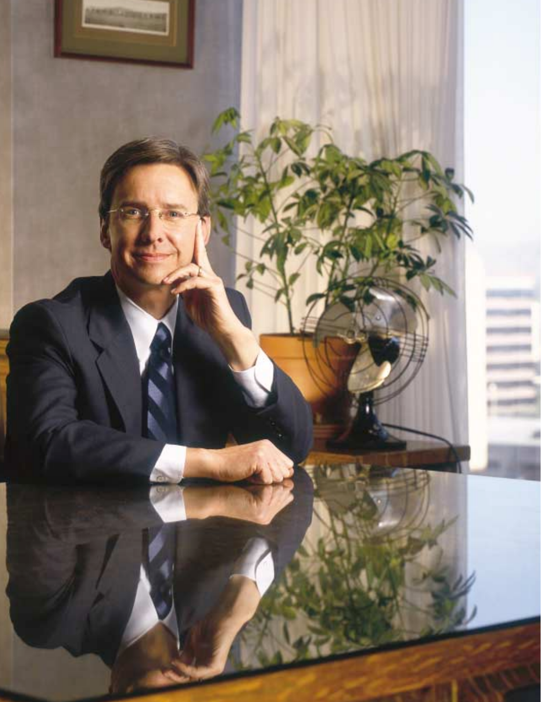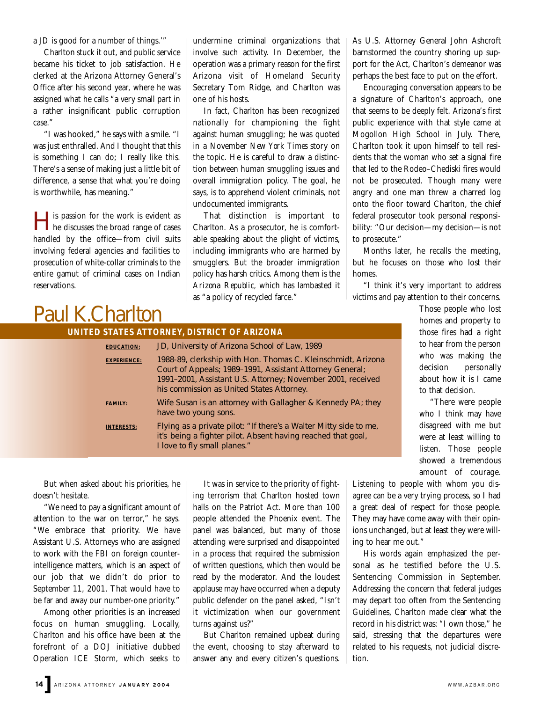a JD is good for a number of things.'"

Charlton stuck it out, and public service became his ticket to job satisfaction. He clerked at the Arizona Attorney General's Office after his second year, where he was assigned what he calls "a very small part in a rather insignificant public corruption case."

"I was hooked," he says with a smile. "I was just enthralled. And I thought that this is something I can do; I really like this. There's a sense of making just a little bit of difference, a sense that what you're doing is worthwhile, has meaning."

His passion for the work is evident as he discusses the broad range of cases handled by the office—from civil suits involving federal agencies and facilities to prosecution of white-collar criminals to the entire gamut of criminal cases on Indian reservations.

undermine criminal organizations that involve such activity. In December, the operation was a primary reason for the first Arizona visit of Homeland Security Secretary Tom Ridge, and Charlton was one of his hosts.

In fact, Charlton has been recognized nationally for championing the fight against human smuggling; he was quoted in a November *New York Times* story on the topic. He is careful to draw a distinction between human smuggling issues and overall immigration policy. The goal, he says, is to apprehend violent criminals, not undocumented immigrants.

That distinction is important to Charlton. As a prosecutor, he is comfortable speaking about the plight of victims, including immigrants who are harmed by smugglers. But the broader immigration policy has harsh critics. Among them is the *Arizona Republic*, which has lambasted it as "a policy of recycled farce."

As U.S. Attorney General John Ashcroft barnstormed the country shoring up support for the Act, Charlton's demeanor was perhaps the best face to put on the effort.

Encouraging conversation appears to be a signature of Charlton's approach, one that seems to be deeply felt. Arizona's first public experience with that style came at Mogollon High School in July. There, Charlton took it upon himself to tell residents that the woman who set a signal fire that led to the Rodeo–Chediski fires would not be prosecuted. Though many were angry and one man threw a charred log onto the floor toward Charlton, the chief federal prosecutor took personal responsibility: "Our decision—my decision—is not to prosecute."

Months later, he recalls the meeting, but he focuses on those who lost their homes.

"I think it's very important to address victims and pay attention to their concerns.

> Those people who lost homes and property to those fires had a right to hear from the person who was making the decision personally about how it is I came to that decision.

"There were people who I think may have disagreed with me but were at least willing to listen. Those people showed a tremendous amount of courage.

But when asked about his priorities, he

doesn't hesitate.

"We need to pay a significant amount of attention to the war on terror," he says. "We embrace that priority. We have Assistant U.S. Attorneys who are assigned to work with the FBI on foreign counterintelligence matters, which is an aspect of our job that we didn't do prior to September 11, 2001. That would have to be far and away our number-one priority."

Among other priorities is an increased focus on human smuggling. Locally, Charlton and his office have been at the forefront of a DOJ initiative dubbed Operation ICE Storm, which seeks to

It was in service to the priority of fighting terrorism that Charlton hosted town halls on the Patriot Act. More than 100 people attended the Phoenix event. The panel was balanced, but many of those attending were surprised and disappointed in a process that required the submission of written questions, which then would be read by the moderator. And the loudest applause may have occurred when a deputy public defender on the panel asked, "Isn't it victimization when our government turns against us?"

But Charlton remained upbeat during the event, choosing to stay afterward to answer any and every citizen's questions. Listening to people with whom you disagree can be a very trying process, so I had a great deal of respect for those people. They may have come away with their opinions unchanged, but at least they were willing to hear me out."

His words again emphasized the personal as he testified before the U.S. Sentencing Commission in September. Addressing the concern that federal judges may depart too often from the Sentencing Guidelines, Charlton made clear what the record in his district was: "I own those," he said, stressing that the departures were related to his requests, not judicial discretion.

## Paul K.Charlton **UNITED STATES ATTORNEY, DISTRICT OF ARIZONA**

| <u>UNITED STATES AT LOWNER, DISTINCT OF AMERICAN</u> |  |                    |                                                                                                                                                                                                                                      |
|------------------------------------------------------|--|--------------------|--------------------------------------------------------------------------------------------------------------------------------------------------------------------------------------------------------------------------------------|
|                                                      |  | <b>EDUCATION:</b>  | JD, University of Arizona School of Law, 1989                                                                                                                                                                                        |
|                                                      |  | <b>EXPERIENCE:</b> | 1988-89, clerkship with Hon. Thomas C. Kleinschmidt, Arizona<br>Court of Appeals; 1989–1991, Assistant Attorney General;<br>1991-2001, Assistant U.S. Attorney; November 2001, received<br>his commission as United States Attorney. |
|                                                      |  | <b>FAMILY:</b>     | Wife Susan is an attorney with Gallagher & Kennedy PA; they<br>have two young sons.                                                                                                                                                  |
|                                                      |  | <b>INTERESTS:</b>  | Flying as a private pilot: "If there's a Walter Mitty side to me,<br>it's being a fighter pilot. Absent having reached that goal,<br>I love to fly small planes."                                                                    |
|                                                      |  |                    |                                                                                                                                                                                                                                      |